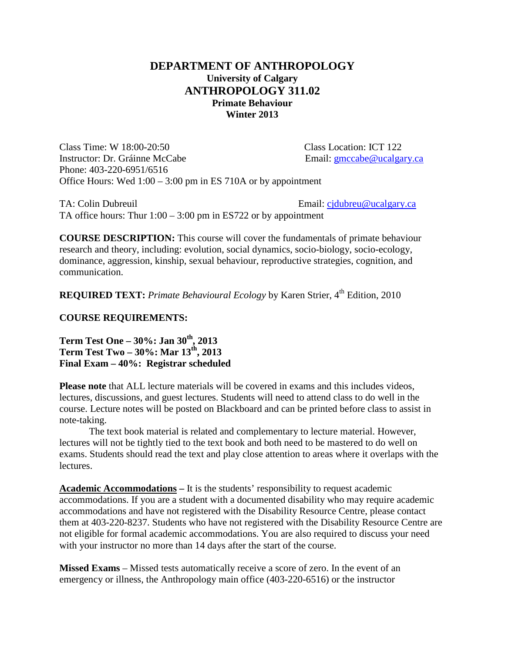## **DEPARTMENT OF ANTHROPOLOGY University of Calgary ANTHROPOLOGY 311.02 Primate Behaviour Winter 2013**

Class Time: W 18:00-20:50 Class Location: ICT 122 Instructor: Dr. Gráinne McCabe Email: [gmccabe@ucalgary.ca](mailto:gmccabe@ucalgary.ca) Phone: 403-220-6951/6516 Office Hours: Wed 1:00 – 3:00 pm in ES 710A or by appointment

TA: Colin Dubreuil Email: [cjdubreu@ucalgary.ca](mailto:cjdubreu@ucalgary.ca) TA office hours: Thur  $1:00 - 3:00$  pm in ES722 or by appointment

**COURSE DESCRIPTION:** This course will cover the fundamentals of primate behaviour research and theory, including: evolution, social dynamics, socio-biology, socio-ecology, dominance, aggression, kinship, sexual behaviour, reproductive strategies, cognition, and communication.

**REQUIRED TEXT:** *Primate Behavioural Ecology* by Karen Strier, 4<sup>th</sup> Edition, 2010

**COURSE REQUIREMENTS:**

**Term Test One – 30%: Jan 30th, 2013 Term Test Two – 30%: Mar 13th, 2013 Final Exam – 40%: Registrar scheduled**

**Please note** that ALL lecture materials will be covered in exams and this includes videos, lectures, discussions, and guest lectures. Students will need to attend class to do well in the course. Lecture notes will be posted on Blackboard and can be printed before class to assist in note-taking.

The text book material is related and complementary to lecture material. However, lectures will not be tightly tied to the text book and both need to be mastered to do well on exams. Students should read the text and play close attention to areas where it overlaps with the lectures.

**Academic Accommodations –** It is the students' responsibility to request academic accommodations. If you are a student with a documented disability who may require academic accommodations and have not registered with the Disability Resource Centre, please contact them at 403-220-8237. Students who have not registered with the Disability Resource Centre are not eligible for formal academic accommodations. You are also required to discuss your need with your instructor no more than 14 days after the start of the course.

**Missed Exams** – Missed tests automatically receive a score of zero. In the event of an emergency or illness, the Anthropology main office (403-220-6516) or the instructor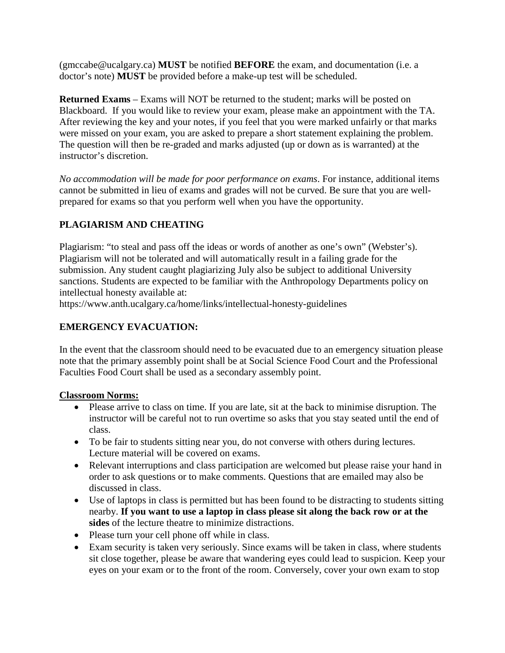(gmccabe@ucalgary.ca) **MUST** be notified **BEFORE** the exam, and documentation (i.e. a doctor's note) **MUST** be provided before a make-up test will be scheduled.

**Returned Exams** – Exams will NOT be returned to the student; marks will be posted on Blackboard. If you would like to review your exam, please make an appointment with the TA. After reviewing the key and your notes, if you feel that you were marked unfairly or that marks were missed on your exam, you are asked to prepare a short statement explaining the problem. The question will then be re-graded and marks adjusted (up or down as is warranted) at the instructor's discretion.

*No accommodation will be made for poor performance on exams*. For instance, additional items cannot be submitted in lieu of exams and grades will not be curved. Be sure that you are wellprepared for exams so that you perform well when you have the opportunity.

# **PLAGIARISM AND CHEATING**

Plagiarism: "to steal and pass off the ideas or words of another as one's own" (Webster's). Plagiarism will not be tolerated and will automatically result in a failing grade for the submission. Any student caught plagiarizing July also be subject to additional University sanctions. Students are expected to be familiar with the Anthropology Departments policy on intellectual honesty available at:

https://www.anth.ucalgary.ca/home/links/intellectual-honesty-guidelines

## **EMERGENCY EVACUATION:**

In the event that the classroom should need to be evacuated due to an emergency situation please note that the primary assembly point shall be at Social Science Food Court and the Professional Faculties Food Court shall be used as a secondary assembly point.

#### **Classroom Norms:**

- Please arrive to class on time. If you are late, sit at the back to minimise disruption. The instructor will be careful not to run overtime so asks that you stay seated until the end of class.
- To be fair to students sitting near you, do not converse with others during lectures. Lecture material will be covered on exams.
- Relevant interruptions and class participation are welcomed but please raise your hand in order to ask questions or to make comments. Questions that are emailed may also be discussed in class.
- Use of laptops in class is permitted but has been found to be distracting to students sitting nearby. **If you want to use a laptop in class please sit along the back row or at the sides** of the lecture theatre to minimize distractions.
- Please turn your cell phone off while in class.
- Exam security is taken very seriously. Since exams will be taken in class, where students sit close together, please be aware that wandering eyes could lead to suspicion. Keep your eyes on your exam or to the front of the room. Conversely, cover your own exam to stop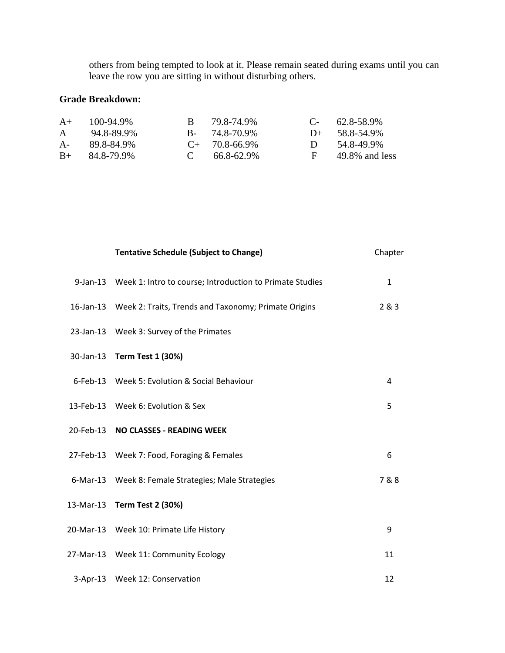others from being tempted to look at it. Please remain seated during exams until you can leave the row you are sitting in without disturbing others.

## **Grade Breakdown:**

| $A+$  | 100-94.9%        | B 79.8-74.9%        |        | $C - 62.8 - 58.9\%$ |
|-------|------------------|---------------------|--------|---------------------|
| A     | 94.8-89.9%       | $B - 74.8 - 70.9\%$ |        | $D+$ 58.8-54.9%     |
| $A$ - | 89.8-84.9%       | $C_{+}$ 70.8-66.9%  | $\Box$ | 54.8-49.9%          |
|       | $B+ 84.8-79.9\%$ | $C = 66.8 - 62.9\%$ |        | 49.8% and less      |

| <b>Tentative Schedule (Subject to Change)</b>                     | Chapter      |
|-------------------------------------------------------------------|--------------|
| 9-Jan-13 Week 1: Intro to course; Introduction to Primate Studies | $\mathbf{1}$ |
| 16-Jan-13 Week 2: Traits, Trends and Taxonomy; Primate Origins    | 2 & 3        |
| 23-Jan-13 Week 3: Survey of the Primates                          |              |
| 30-Jan-13 Term Test 1 (30%)                                       |              |
| 6-Feb-13 Week 5: Evolution & Social Behaviour                     | 4            |
| 13-Feb-13 Week 6: Evolution & Sex                                 | 5            |
| 20-Feb-13 NO CLASSES - READING WEEK                               |              |
| 27-Feb-13 Week 7: Food, Foraging & Females                        | 6            |
| 6-Mar-13 Week 8: Female Strategies; Male Strategies               | 7 & 8        |
| 13-Mar-13 Term Test 2 (30%)                                       |              |
| 20-Mar-13 Week 10: Primate Life History                           | 9            |
| 27-Mar-13 Week 11: Community Ecology                              | 11           |
| 3-Apr-13 Week 12: Conservation                                    | 12           |